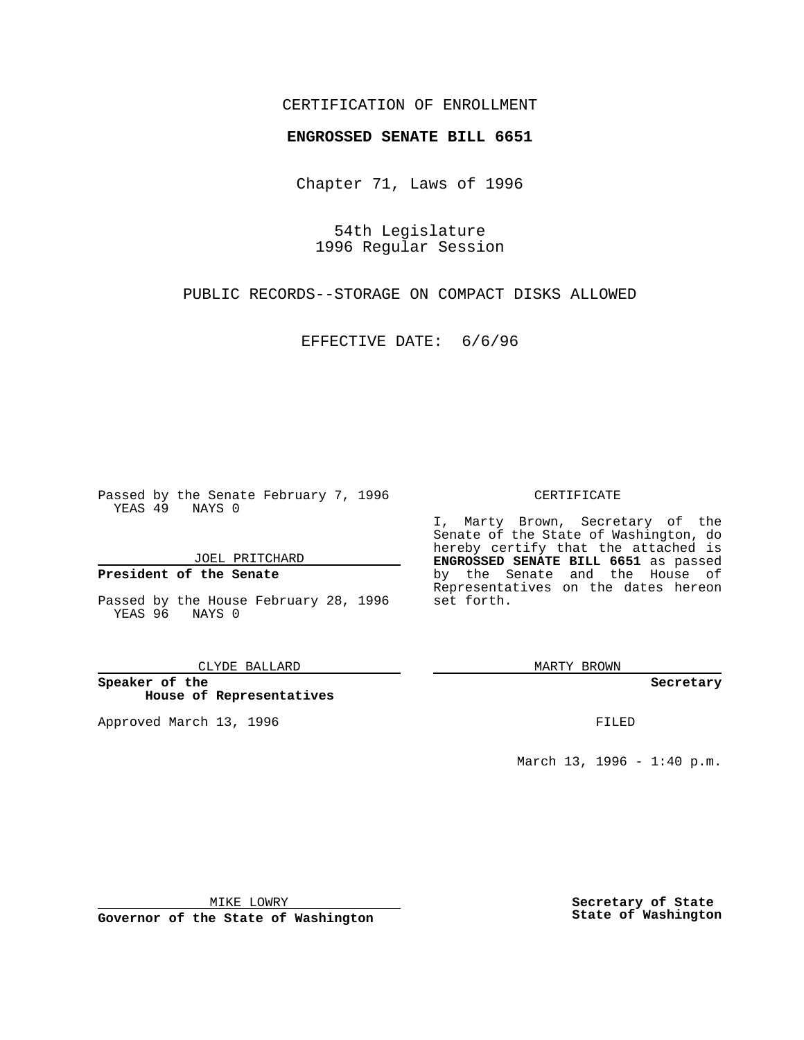## CERTIFICATION OF ENROLLMENT

## **ENGROSSED SENATE BILL 6651**

Chapter 71, Laws of 1996

54th Legislature 1996 Regular Session

PUBLIC RECORDS--STORAGE ON COMPACT DISKS ALLOWED

EFFECTIVE DATE: 6/6/96

Passed by the Senate February 7, 1996 YEAS 49 NAYS 0

JOEL PRITCHARD

**President of the Senate**

Passed by the House February 28, 1996 YEAS 96 NAYS 0

CLYDE BALLARD

**Speaker of the House of Representatives**

Approved March 13, 1996 **FILED** 

## CERTIFICATE

I, Marty Brown, Secretary of the Senate of the State of Washington, do hereby certify that the attached is **ENGROSSED SENATE BILL 6651** as passed by the Senate and the House of Representatives on the dates hereon set forth.

MARTY BROWN

**Secretary**

March 13, 1996 - 1:40 p.m.

MIKE LOWRY

**Governor of the State of Washington**

**Secretary of State State of Washington**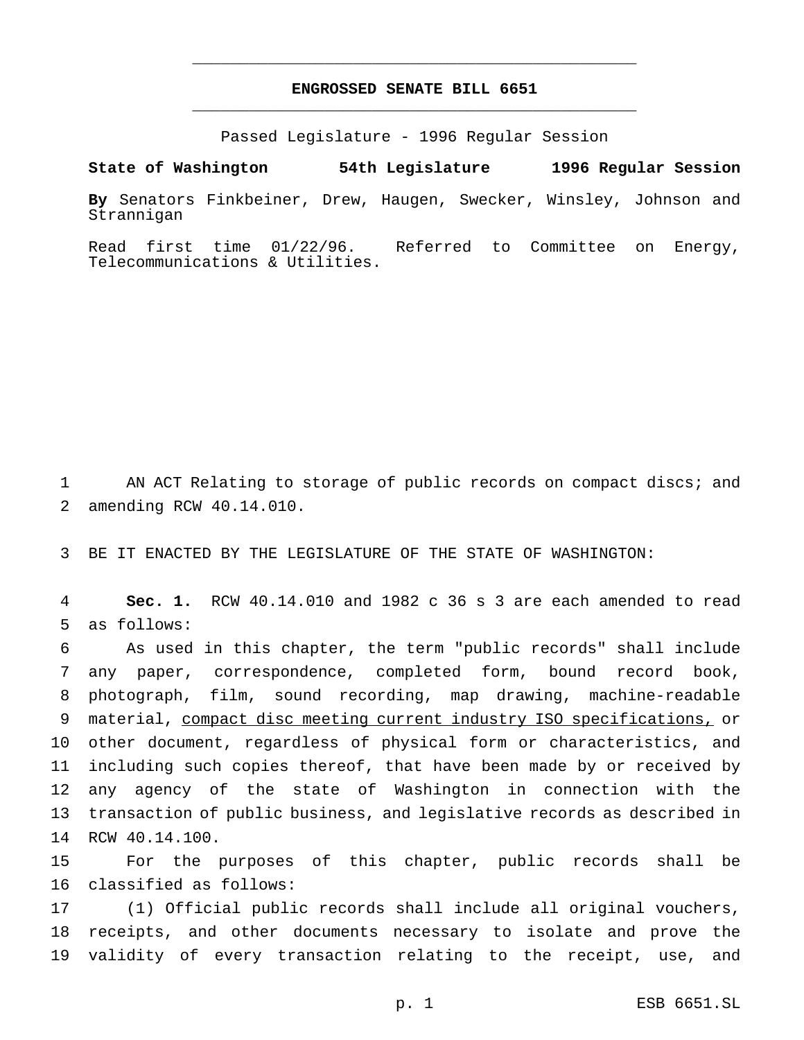## **ENGROSSED SENATE BILL 6651** \_\_\_\_\_\_\_\_\_\_\_\_\_\_\_\_\_\_\_\_\_\_\_\_\_\_\_\_\_\_\_\_\_\_\_\_\_\_\_\_\_\_\_\_\_\_\_

\_\_\_\_\_\_\_\_\_\_\_\_\_\_\_\_\_\_\_\_\_\_\_\_\_\_\_\_\_\_\_\_\_\_\_\_\_\_\_\_\_\_\_\_\_\_\_

Passed Legislature - 1996 Regular Session

**State of Washington 54th Legislature 1996 Regular Session**

**By** Senators Finkbeiner, Drew, Haugen, Swecker, Winsley, Johnson and Strannigan

Read first time 01/22/96. Referred to Committee on Energy, Telecommunications & Utilities.

 AN ACT Relating to storage of public records on compact discs; and amending RCW 40.14.010.

BE IT ENACTED BY THE LEGISLATURE OF THE STATE OF WASHINGTON:

 **Sec. 1.** RCW 40.14.010 and 1982 c 36 s 3 are each amended to read as follows:

 As used in this chapter, the term "public records" shall include any paper, correspondence, completed form, bound record book, photograph, film, sound recording, map drawing, machine-readable material, compact disc meeting current industry ISO specifications, or other document, regardless of physical form or characteristics, and including such copies thereof, that have been made by or received by any agency of the state of Washington in connection with the transaction of public business, and legislative records as described in RCW 40.14.100.

 For the purposes of this chapter, public records shall be classified as follows:

 (1) Official public records shall include all original vouchers, receipts, and other documents necessary to isolate and prove the validity of every transaction relating to the receipt, use, and